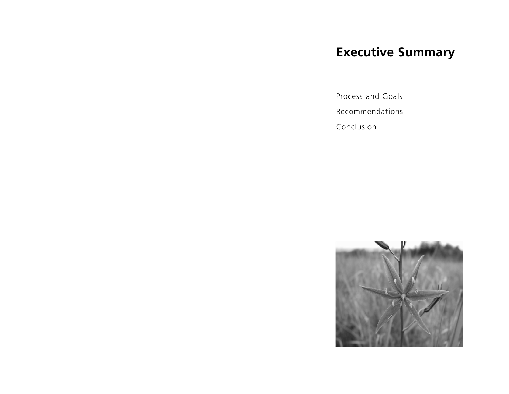# **Executive Summary**

Process and Goals

Recommendations

Conclusion

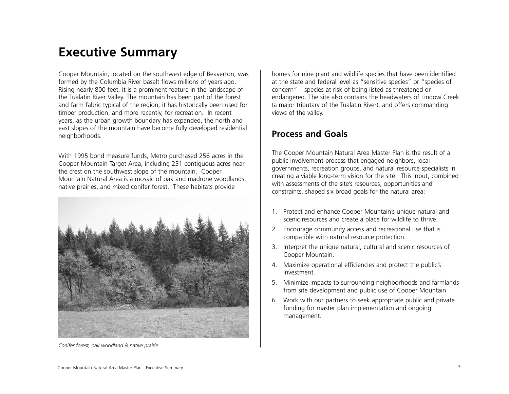# **Executive Summary**

Cooper Mountain, located on the southwest edge of Beaverton, was formed by the Columbia River basalt flows millions of years ago. Rising nearly 800 feet, it is a prominent feature in the landscape of the Tualatin River Valley. The mountain has been part of the forest and farm fabric typical of the region; it has historically been used for timber production, and more recently, for recreation. In recent years, as the urban growth boundary has expanded, the north and east slopes of the mountain have become fully developed residential neighborhoods.

With 1995 bond measure funds, Metro purchased 256 acres in the Cooper Mountain Target Area, including 231 contiguous acres near the crest on the southwest slope of the mountain. Cooper Mountain Natural Area is a mosaic of oak and madrone woodlands, native prairies, and mixed conifer forest. These habitats provide



*Conifer forest, oak woodland & native prairie*

homes for nine plant and wildlife species that have been identified at the state and federal level as "sensitive species" or "species of concern" – species at risk of being listed as threatened or endangered. The site also contains the headwaters of Lindow Creek (a major tributary of the Tualatin River), and offers commanding views of the valley.

#### **Process and Goals**

The Cooper Mountain Natural Area Master Plan is the result of a public involvement process that engaged neighbors, local governments, recreation groups, and natural resource specialists in creating a viable long-term vision for the site. This input, combined with assessments of the site's resources, opportunities and constraints, shaped six broad goals for the natural area:

- 1. Protect and enhance Cooper Mountain's unique natural and scenic resources and create a place for wildlife to thrive.
- 2. Encourage community access and recreational use that is compatible with natural resource protection.
- 3. Interpret the unique natural, cultural and scenic resources of Cooper Mountain.
- 4. Maximize operational efficiencies and protect the public's investment.
- 5. Minimize impacts to surrounding neighborhoods and farmlands from site development and public use of Cooper Mountain.
- 6. Work with our partners to seek appropriate public and private funding for master plan implementation and ongoing management.